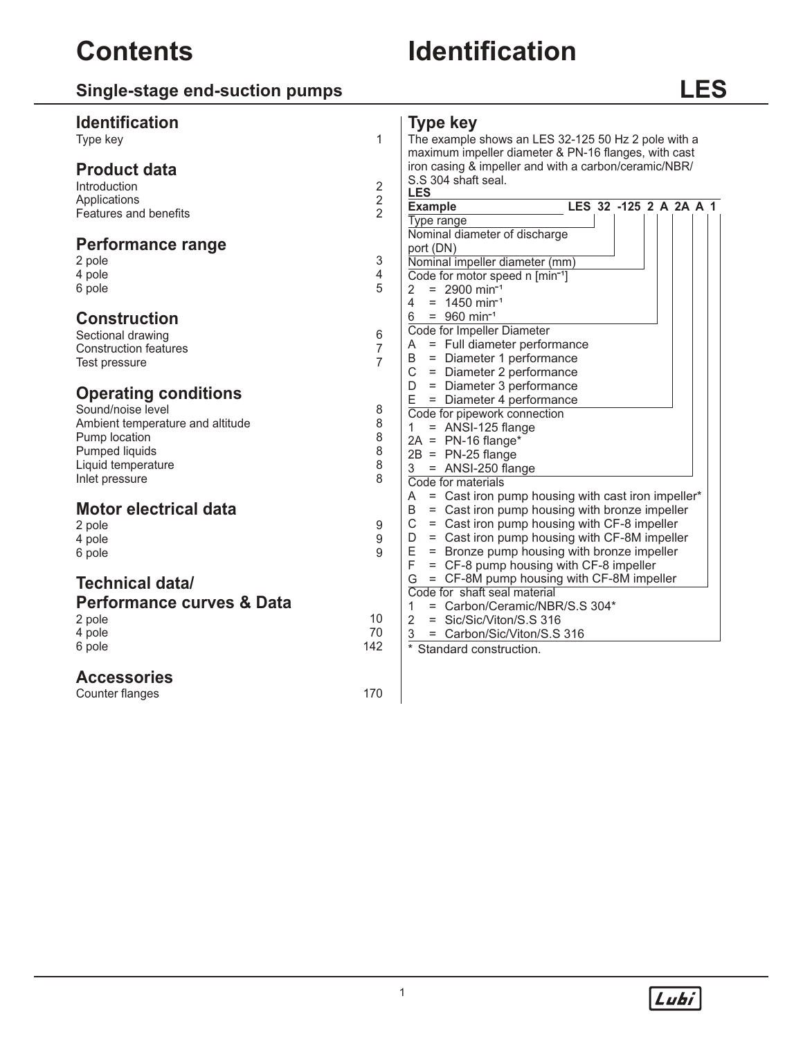# **Single-stage end-suction pumps**

# **LES**

| <b>Identification</b>                |                | <b>Type key</b>                                        |
|--------------------------------------|----------------|--------------------------------------------------------|
| Type key                             | $\mathbf{1}$   | The example shows an LES 32-125 50 Hz 2 pole with a    |
|                                      |                | maximum impeller diameter & PN-16 flanges, with cast   |
| <b>Product data</b>                  |                | iron casing & impeller and with a carbon/ceramic/NBR/  |
| Introduction                         | $\sqrt{2}$     | S.S 304 shaft seal.                                    |
| Applications                         | 2              | <b>LES</b>                                             |
| Features and benefits                | $\overline{2}$ | LES 32 -125 2 A 2A A 1<br><b>Example</b>               |
|                                      |                | Type range                                             |
|                                      |                | Nominal diameter of discharge                          |
| <b>Performance range</b>             |                | port (DN)                                              |
| 2 pole                               | 3              | Nominal impeller diameter (mm)                         |
| 4 pole                               | 4              | Code for motor speed n [min <sup>-1</sup> ]            |
| 6 pole                               | 5              | $= 2900$ min <sup>-1</sup><br>2                        |
|                                      |                | $\overline{4}$<br>$= 1450$ min <sup>-1</sup>           |
| <b>Construction</b>                  |                | 6<br>$= 960$ min <sup>-1</sup>                         |
| Sectional drawing                    | 6              | Code for Impeller Diameter                             |
| <b>Construction features</b>         | $\overline{7}$ | = Full diameter performance<br>A                       |
| Test pressure                        | $\overline{7}$ | = Diameter 1 performance<br>В                          |
|                                      |                | $\mathsf C$<br>= Diameter 2 performance                |
|                                      |                | = Diameter 3 performance<br>D                          |
| <b>Operating conditions</b>          |                | E<br>= Diameter 4 performance                          |
| Sound/noise level                    | 8              | Code for pipework connection                           |
| Ambient temperature and altitude     | 8              | = ANSI-125 flange<br>$\mathbf{1}$                      |
| Pump location                        | 8              | $2A = PN-16$ flange*                                   |
| Pumped liquids                       | 8              | $2B = PN-25$ flange                                    |
| Liquid temperature                   | 8              | 3<br>$=$ ANSI-250 flange                               |
| Inlet pressure                       | 8              | Code for materials                                     |
|                                      |                | = Cast iron pump housing with cast iron impeller*<br>A |
| <b>Motor electrical data</b>         |                | = Cast iron pump housing with bronze impeller<br>B     |
| 2 pole                               | 9              | = Cast iron pump housing with CF-8 impeller<br>C       |
| 4 pole                               | 9              | = Cast iron pump housing with CF-8M impeller<br>D      |
| 6 pole                               | $\mathsf{Q}$   | = Bronze pump housing with bronze impeller<br>Е        |
|                                      |                | F<br>= CF-8 pump housing with CF-8 impeller            |
| <b>Technical data/</b>               |                | G<br>= CF-8M pump housing with CF-8M impeller          |
|                                      |                | Code for shaft seal material                           |
| <b>Performance curves &amp; Data</b> |                | = Carbon/Ceramic/NBR/S.S 304*<br>1                     |
| 2 pole                               | 10             | $\overline{2}$<br>= Sic/Sic/Viton/S.S 316              |
| 4 pole                               | 70             | = Carbon/Sic/Viton/S.S 316<br>3                        |
| 6 pole                               | 142            | Standard construction.                                 |
| <b>Accessories</b>                   |                |                                                        |
| Counter flanges                      | 170            |                                                        |
|                                      |                |                                                        |

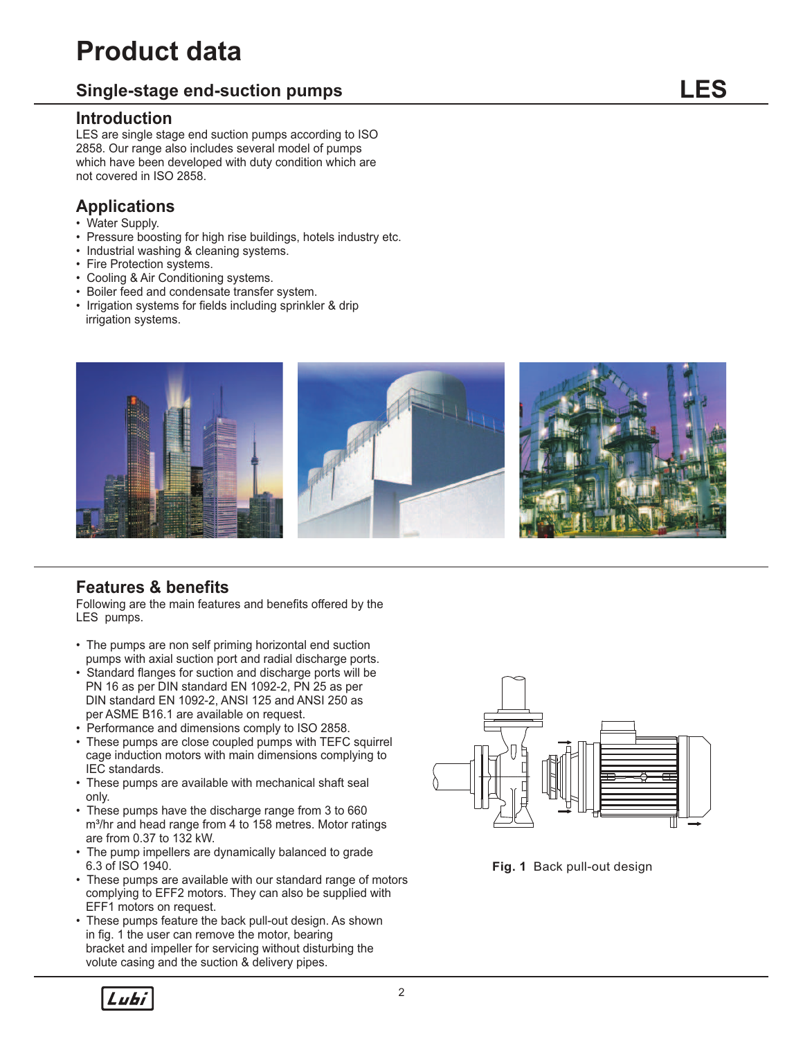# **Product data**

### **Single-stage end-suction pumps**

#### **Introduction**

LES are single stage end suction pumps according to ISO 2858. Our range also includes several model of pumps which have been developed with duty condition which are not covered in ISO 2858.

### **Applications**

- Water Supply.
- Pressure boosting for high rise buildings, hotels industry etc.
- Industrial washing & cleaning systems.
- Fire Protection systems.
- Cooling & Air Conditioning systems.
- Boiler feed and condensate transfer system.
- Irrigation systems for fields including sprinkler & drip irrigation systems.



### **Features & benefits**

Following are the main features and benefits offered by the LES pumps.

- The pumps are non self priming horizontal end suction pumps with axial suction port and radial discharge ports.
- Standard flanges for suction and discharge ports will be PN 16 as per DIN standard EN 1092-2, PN 25 as per DIN standard EN 1092-2, ANSI 125 and ANSI 250 as per ASME B16.1 are available on request.
- Performance and dimensions comply to ISO 2858.
- These pumps are close coupled pumps with TEFC squirrel cage induction motors with main dimensions complying to IEC standards.
- These pumps are available with mechanical shaft seal only.
- These pumps have the discharge range from 3 to 660 m<sup>3</sup>/hr and head range from 4 to 158 metres. Motor ratings are from 0.37 to 132 kW.
- The pump impellers are dynamically balanced to grade 6.3 of ISO 1940.
- These pumps are available with our standard range of motors complying to EFF2 motors. They can also be supplied with EFF1 motors on request.
- These pumps feature the back pull-out design. As shown in fig. 1 the user can remove the motor, bearing bracket and impeller for servicing without disturbing the volute casing and the suction & delivery pipes.





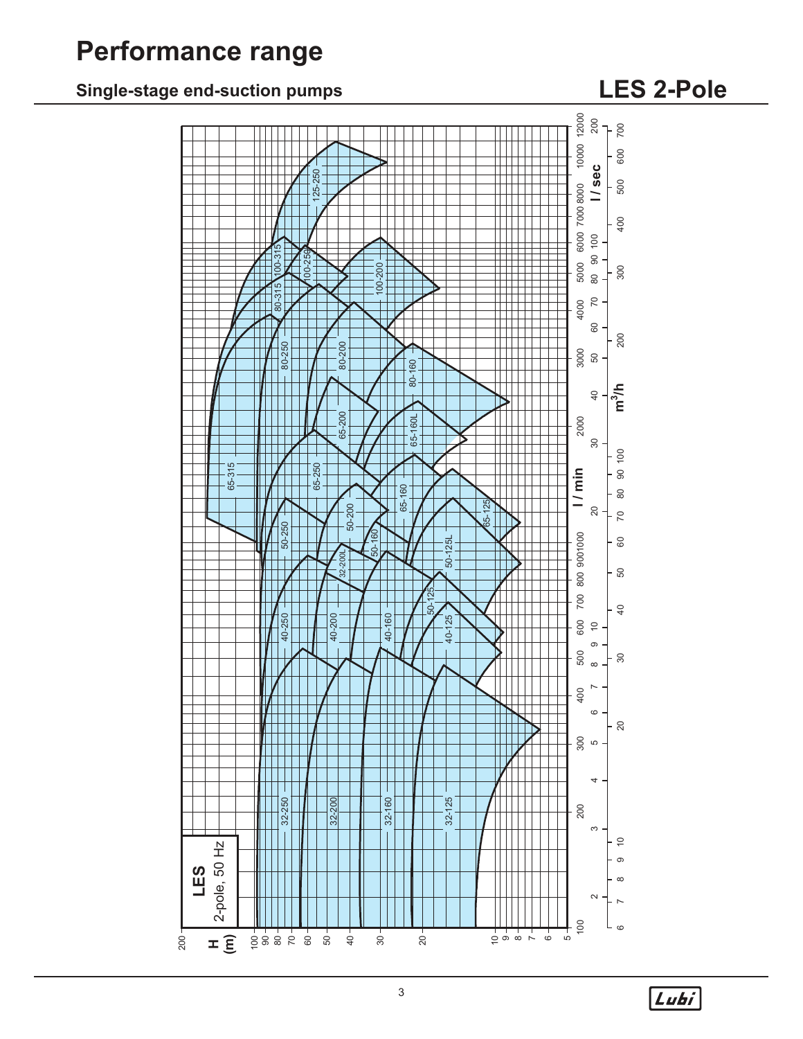# **Performance range**

# **Single-stage end-suction pumps LES 2-Pole**



 $\boxed{\overline{\mathit{Lubi}}}$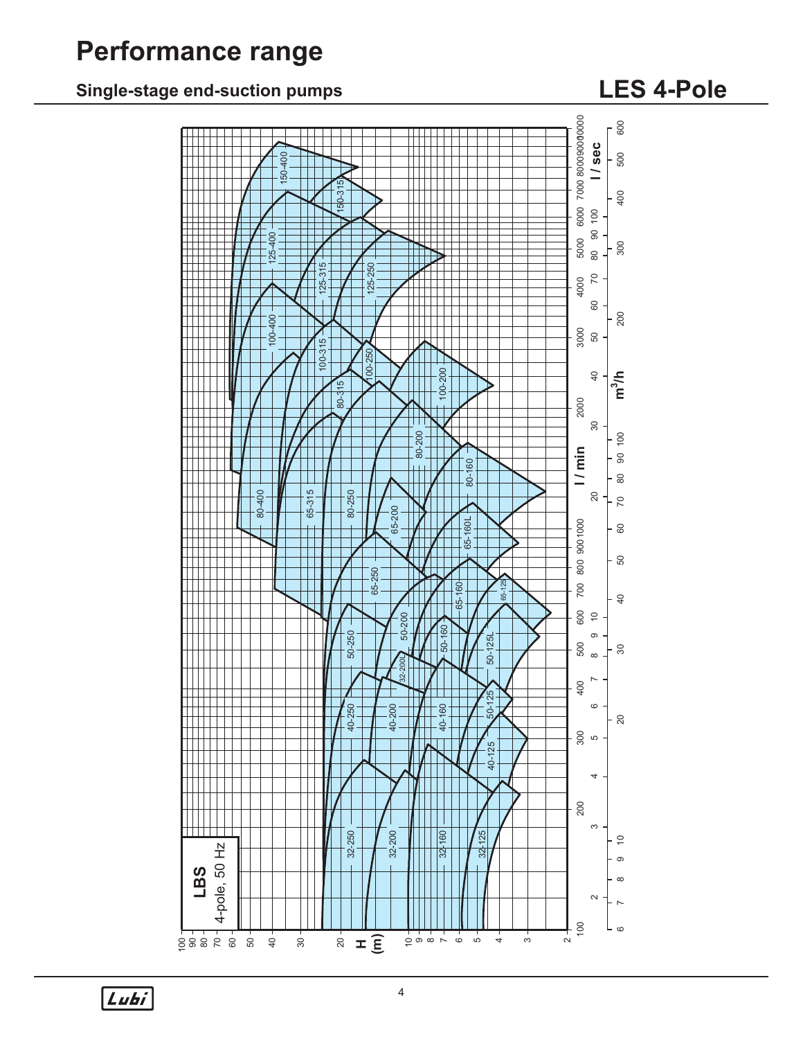# **Performance range**

## **Single-stage end-suction pumps LES 4-Pole**



Lubi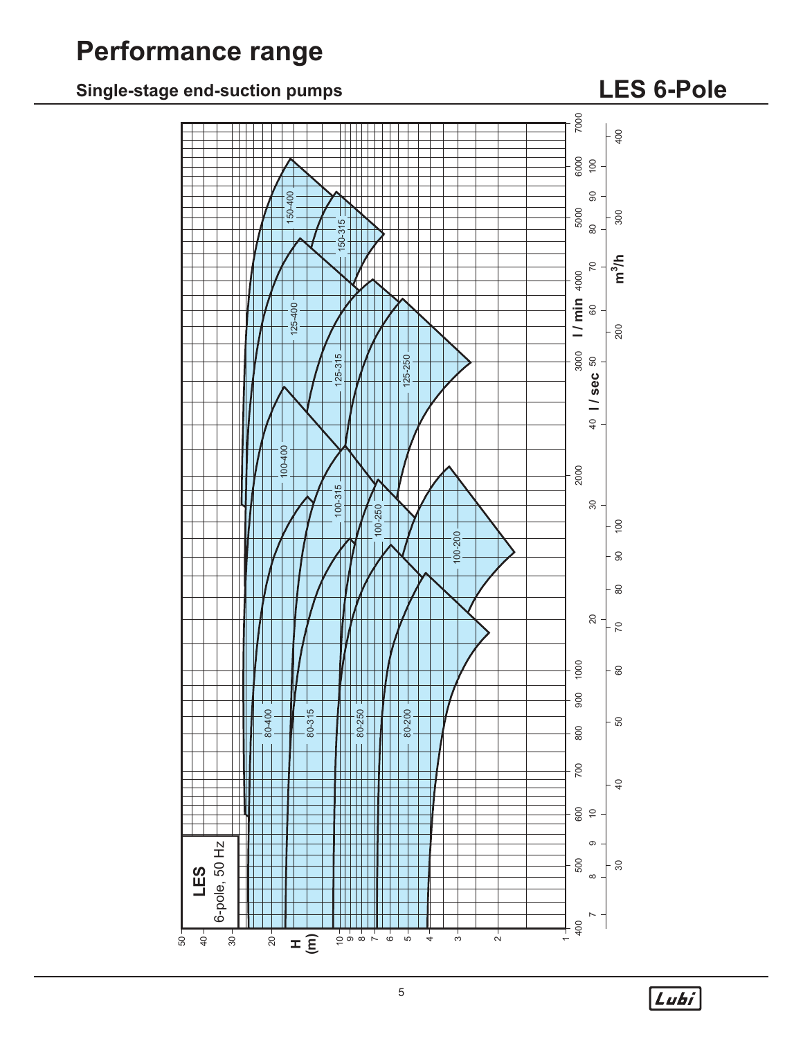# **Performance range**

# **Single-stage end-suction pumps**

# **LES 6-Pole**



 $L$ ubi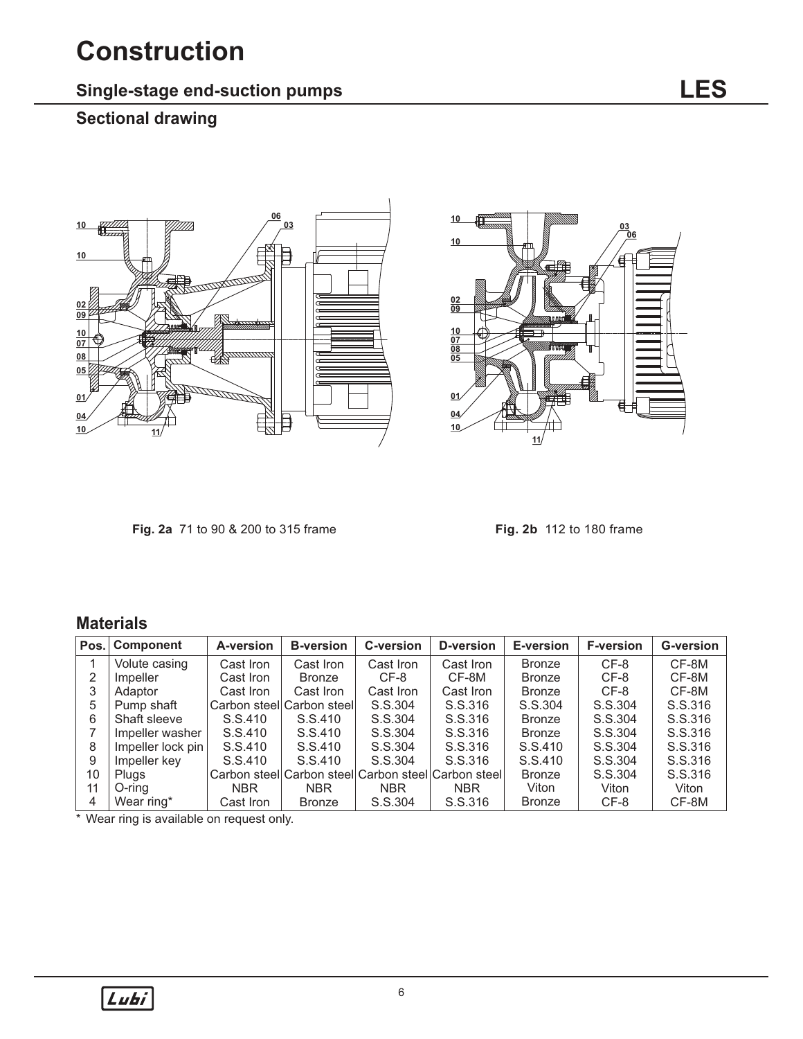# **Construction**

## **Single-stage end-suction pumps**

## **Sectional drawing**





**Fig. 2a** 71 to 90 & 200 to 315 frame

**Fig. 2b** 112 to 180 frame

### **Materials**

| Pos. | <b>Component</b>  | A-version  | <b>B-version</b>          | C-version  | D-version                 | E-version     | <b>F-version</b> | <b>G-version</b> |
|------|-------------------|------------|---------------------------|------------|---------------------------|---------------|------------------|------------------|
|      | Volute casing     | Cast Iron  | Cast Iron                 | Cast Iron  | Cast Iron                 | <b>Bronze</b> | $CF-8$           | CF-8M            |
|      | Impeller          | Cast Iron  | Bronze                    | CF-8       | CF-8M                     | <b>Bronze</b> | CF-8             | CF-8M            |
| 3    | Adaptor           | Cast Iron  | Cast Iron                 | Cast Iron  | Cast Iron                 | <b>Bronze</b> | CF-8             | CF-8M            |
| 5    | Pump shaft        |            | Carbon steel Carbon steel | S.S.304    | S.S.316                   | S.S.304       | S.S.304          | S.S.316          |
| 6    | Shaft sleeve      | S.S.410    | S.S.410                   | S.S.304    | S.S.316                   | <b>Bronze</b> | S.S.304          | S.S.316          |
|      | Impeller washer   | S.S.410    | S.S.410                   | S.S.304    | S.S.316                   | <b>Bronze</b> | S.S.304          | S.S.316          |
| 8    | Impeller lock pin | S.S.410    | S.S.410                   | S.S.304    | S.S.316                   | S.S.410       | S.S.304          | S.S.316          |
| 9    | Impeller key      | S.S.410    | S.S.410                   | S.S.304    | S.S.316                   | S.S.410       | S.S.304          | S.S.316          |
| 10   | <b>Plugs</b>      |            | Carbon steel Carbon steel |            | Carbon steel Carbon steel | Bronze        | S.S.304          | S.S.316          |
| 11   | O-ring            | <b>NBR</b> | NBR.                      | <b>NBR</b> | <b>NBR</b>                | Viton         | Viton            | Viton            |
| 4    | Wear ring*        | Cast Iron  | <b>Bronze</b>             | S.S.304    | S.S.316                   | <b>Bronze</b> | CF-8             | CF-8M            |

\* Wear ring is available on request only.

Lubi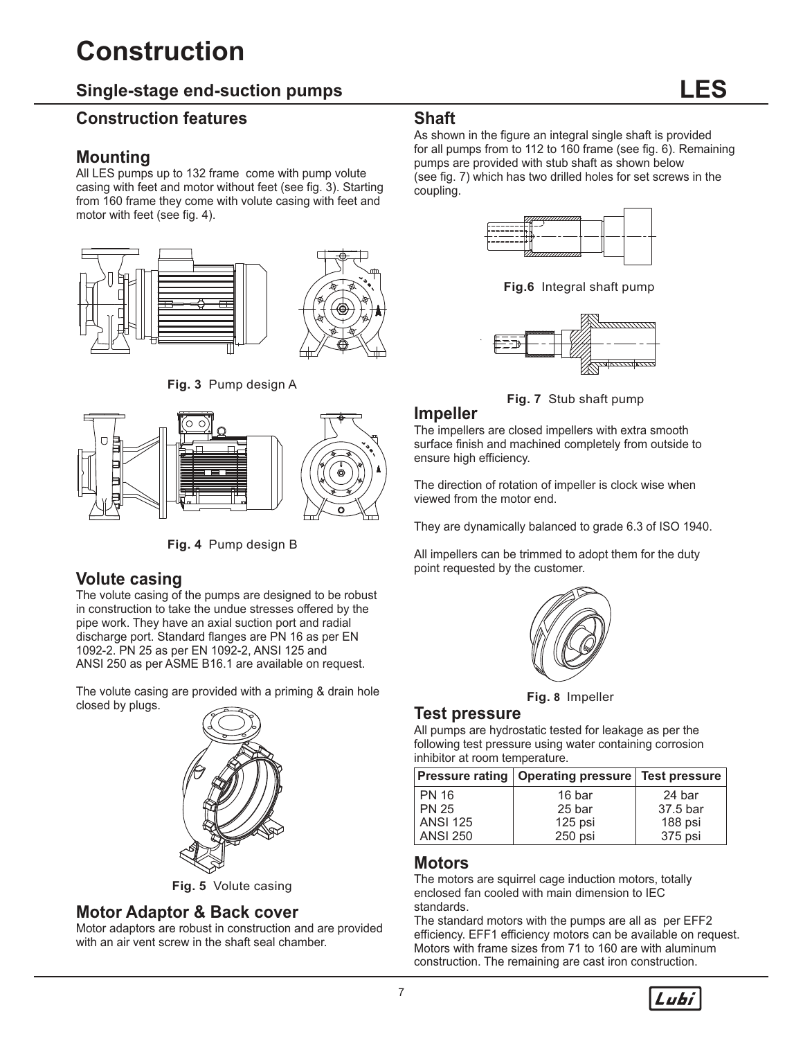# **Construction**

### **Single-stage end-suction pumps**

#### **Construction features**

#### **Mounting**

All LES pumps up to 132 frame come with pump volute casing with feet and motor without feet (see fig. 3). Starting from 160 frame they come with volute casing with feet and motor with feet (see fig. 4).



**Fig. 3** Pump design A



**Fig. 4** Pump design B

#### **Volute casing**

The volute casing of the pumps are designed to be robust in construction to take the undue stresses offered by the pipe work. They have an axial suction port and radial discharge port. Standard flanges are PN 16 as per EN 1092-2. PN 25 as per EN 1092-2, ANSI 125 and ANSI 250 as per ASME B16.1 are available on request.

The volute casing are provided with a priming & drain hole closed by plugs.



**Fig. 5** Volute casing

#### **Motor Adaptor & Back cover**

Motor adaptors are robust in construction and are provided with an air vent screw in the shaft seal chamber.

#### **Shaft**

As shown in the figure an integral single shaft is provided for all pumps from to 112 to 160 frame (see fig. 6). Remaining pumps are provided with stub shaft as shown below (see fig. 7) which has two drilled holes for set screws in the coupling.



**Fig.6** Integral shaft pump



**Fig. 7** Stub shaft pump

#### **Impeller**

The impellers are closed impellers with extra smooth surface finish and machined completely from outside to ensure high efficiency.

The direction of rotation of impeller is clock wise when viewed from the motor end.

They are dynamically balanced to grade 6.3 of ISO 1940.

All impellers can be trimmed to adopt them for the duty point requested by the customer.



**Fig. 8** Impeller

#### **Test pressure**

All pumps are hydrostatic tested for leakage as per the following test pressure using water containing corrosion inhibitor at room temperature.

|                 | <b>Pressure rating   Operating pressure   Test pressure</b> |          |
|-----------------|-------------------------------------------------------------|----------|
| <b>PN 16</b>    | 16 bar                                                      | 24 bar   |
| <b>PN 25</b>    | 25 bar                                                      | 37.5 bar |
| <b>ANSI 125</b> | 125 psi                                                     | 188 psi  |
| <b>ANSI 250</b> | 250 psi                                                     | 375 psi  |

#### **Motors**

The motors are squirrel cage induction motors, totally enclosed fan cooled with main dimension to IEC standards.

The standard motors with the pumps are all as per EFF2 efficiency. EFF1 efficiency motors can be available on request. Motors with frame sizes from 71 to 160 are with aluminum construction. The remaining are cast iron construction.

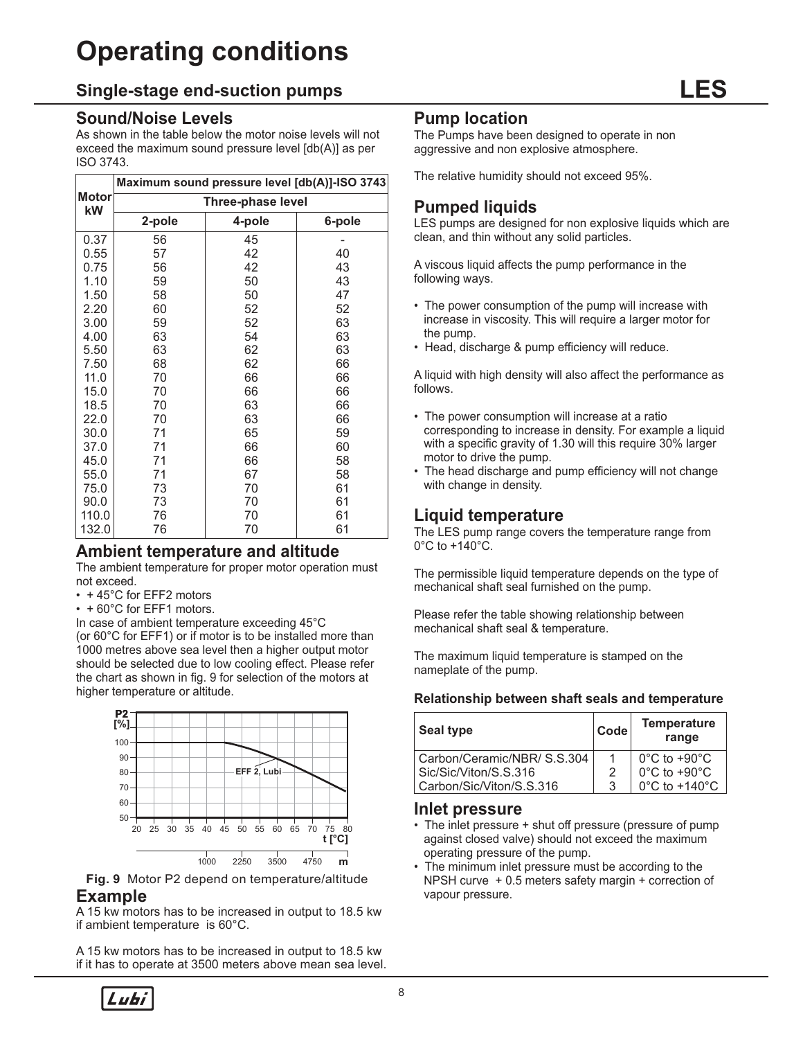# **Operating conditions**

#### **Single-stage end-suction pumps**

#### **Sound/Noise Levels**

As shown in the table below the motor noise levels will not exceed the maximum sound pressure level [db(A)] as per ISO 3743.

|                    |        | Maximum sound pressure level [db(A)]-ISO 3743 |        |
|--------------------|--------|-----------------------------------------------|--------|
| <b>Motor</b><br>kW |        | Three-phase level                             |        |
|                    | 2-pole | 4-pole                                        | 6-pole |
| 0.37               | 56     | 45                                            |        |
| 0.55               | 57     | 42                                            | 40     |
| 0.75               | 56     | 42                                            | 43     |
| 1.10               | 59     | 50                                            | 43     |
| 1.50               | 58     | 50                                            | 47     |
| 2.20               | 60     | 52                                            | 52     |
| 3.00               | 59     | 52                                            | 63     |
| 4.00               | 63     | 54                                            | 63     |
| 5.50               | 63     | 62                                            | 63     |
| 7.50               | 68     | 62                                            | 66     |
| 11.0               | 70     | 66                                            | 66     |
| 15.0               | 70     | 66                                            | 66     |
| 18.5               | 70     | 63                                            | 66     |
| 22.0               | 70     | 63                                            | 66     |
| 30.0               | 71     | 65                                            | 59     |
| 37.0               | 71     | 66                                            | 60     |
| 45.0               | 71     | 66                                            | 58     |
| 55.0               | 71     | 67                                            | 58     |
| 75.0               | 73     | 70                                            | 61     |
| 90.0               | 73     | 70                                            | 61     |
| 110.0              | 76     | 70                                            | 61     |
| 132.0              | 76     | 70                                            | 61     |

#### **Ambient temperature and altitude**

The ambient temperature for proper motor operation must not exceed.

- + 45°C for EFF2 motors
- + 60°C for EFF1 motors.

In case of ambient temperature exceeding 45°C (or 60°C for EFF1) or if motor is to be installed more than 1000 metres above sea level then a higher output motor should be selected due to low cooling effect. Please refer the chart as shown in fig. 9 for selection of the motors at higher temperature or altitude.



**Fig. 9** Motor P2 depend on temperature/altitude **Example**

A 15 kw motors has to be increased in output to 18.5 kw if ambient temperature is 60°C.

A 15 kw motors has to be increased in output to 18.5 kw if it has to operate at 3500 meters above mean sea level.

#### **Pump location**

The Pumps have been designed to operate in non aggressive and non explosive atmosphere.

The relative humidity should not exceed 95%.

### **Pumped liquids**

LES pumps are designed for non explosive liquids which are clean, and thin without any solid particles.

A viscous liquid affects the pump performance in the following ways.

- The power consumption of the pump will increase with increase in viscosity. This will require a larger motor for the pump.
- Head, discharge & pump efficiency will reduce.

A liquid with high density will also affect the performance as follows.

- The power consumption will increase at a ratio corresponding to increase in density. For example a liquid with a specific gravity of 1.30 will this require 30% larger motor to drive the pump.
- The head discharge and pump efficiency will not change with change in density.

#### **Liquid temperature**

The LES pump range covers the temperature range from 0°C to +140°C.

The permissible liquid temperature depends on the type of mechanical shaft seal furnished on the pump.

Please refer the table showing relationship between mechanical shaft seal & temperature.

The maximum liquid temperature is stamped on the nameplate of the pump.

#### **Relationship between shaft seals and temperature**

| <b>Seal type</b>            | Code | <b>Temperature</b><br>range        |
|-----------------------------|------|------------------------------------|
| Carbon/Ceramic/NBR/ S.S.304 |      | $0^{\circ}$ C to +90 $^{\circ}$ C  |
| Sic/Sic/Viton/S.S.316       |      | $0^{\circ}$ C to +90 $^{\circ}$ C  |
| Carbon/Sic/Viton/S.S.316    | 3    | $0^{\circ}$ C to +140 $^{\circ}$ C |

#### **Inlet pressure**

- The inlet pressure + shut off pressure (pressure of pump against closed valve) should not exceed the maximum operating pressure of the pump.
- The minimum inlet pressure must be according to the NPSH curve + 0.5 meters safety margin + correction of vapour pressure.